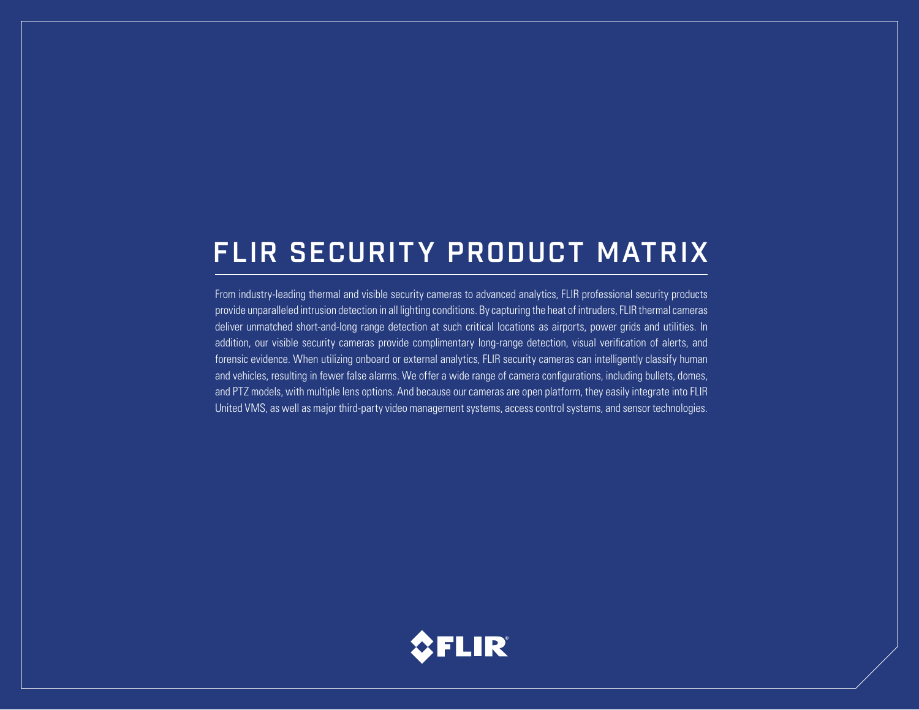# FLIR SECURITY PRODUCT MATRIX

From industry-leading thermal and visible security cameras to advanced analytics, FLIR professional security products provide unparalleled intrusion detection in all lighting conditions. By capturing the heat of intruders, FLIR thermal cameras deliver unmatched short-and-long range detection at such critical locations as airports, power grids and utilities. In addition, our visible security cameras provide complimentary long-range detection, visual verification of alerts, and forensic evidence. When utilizing onboard or external analytics, FLIR security cameras can intelligently classify human and vehicles, resulting in fewer false alarms. We offer a wide range of camera configurations, including bullets, domes, and PTZ models, with multiple lens options. And because our cameras are open platform, they easily integrate into FLIR United VMS, as well as major third-party video management systems, access control systems, and sensor technologies.

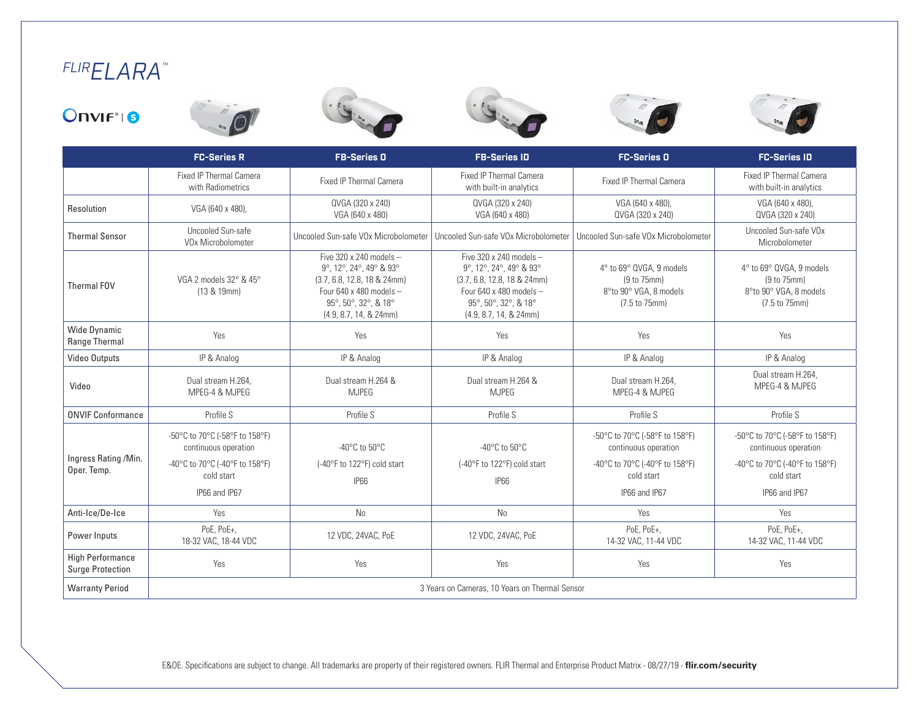# *FLIRELARA™*













|                                                    | <b>FC-Series R</b>                                                                                                      | <b>FB-Series O</b>                                                                                                                                                  | <b>FB-Series ID</b>                                                                                                                                                 | <b>FC-Series O</b>                                                                                                      | <b>FC-Series ID</b>                                                                                                     |  |
|----------------------------------------------------|-------------------------------------------------------------------------------------------------------------------------|---------------------------------------------------------------------------------------------------------------------------------------------------------------------|---------------------------------------------------------------------------------------------------------------------------------------------------------------------|-------------------------------------------------------------------------------------------------------------------------|-------------------------------------------------------------------------------------------------------------------------|--|
|                                                    | <b>Fixed IP Thermal Camera</b><br>with Radiometrics                                                                     | <b>Fixed IP Thermal Camera</b>                                                                                                                                      | <b>Fixed IP Thermal Camera</b><br>with built-in analytics                                                                                                           | <b>Fixed IP Thermal Camera</b>                                                                                          | <b>Fixed IP Thermal Camera</b><br>with built-in analytics                                                               |  |
| Resolution                                         | VGA (640 x 480),                                                                                                        | QVGA (320 x 240)<br>VGA (640 x 480)                                                                                                                                 | QVGA (320 x 240)<br>VGA (640 x 480)                                                                                                                                 | VGA (640 x 480).<br>QVGA (320 x 240)                                                                                    | VGA (640 x 480).<br>QVGA (320 x 240)                                                                                    |  |
| <b>Thermal Sensor</b>                              | Uncooled Sun-safe<br>VOx Microbolometer                                                                                 |                                                                                                                                                                     | Uncooled Sun-safe VOx Microbolometer   Uncooled Sun-safe VOx Microbolometer                                                                                         | Uncooled Sun-safe VOx Microbolometer                                                                                    | Uncooled Sun-safe VOx<br>Microbolometer                                                                                 |  |
| <b>Thermal FOV</b>                                 | VGA 2 models 32° & 45°<br>(13 & 19mm)                                                                                   | Five 320 x 240 models $-$<br>9°, 12°, 24°, 49° & 93°<br>$(3.7, 6.8, 12.8, 18 & 24$ mm)<br>Four 640 x 480 models -<br>95°, 50°, 32°, & 18°<br>(4.9, 8.7, 14, & 24mm) | Five 320 x 240 models $-$<br>9°, 12°, 24°, 49° & 93°<br>$(3.7, 6.8, 12.8, 18 & 24$ mm)<br>Four 640 x 480 models -<br>95°, 50°, 32°, & 18°<br>(4.9, 8.7, 14, & 24mm) | 4° to 69° QVGA, 9 models<br>(9 to 75mm)<br>8°to 90° VGA, 8 models<br>(7.5 to 75mm)                                      | 4° to 69° QVGA, 9 models<br>(9 to 75mm)<br>8°to 90° VGA, 8 models<br>(7.5 to 75mm)                                      |  |
| <b>Wide Dynamic</b><br>Range Thermal               | Yes                                                                                                                     | Yes                                                                                                                                                                 | Yes                                                                                                                                                                 | Yes                                                                                                                     | Yes                                                                                                                     |  |
| <b>Video Outputs</b>                               | IP & Analog                                                                                                             | IP & Analog                                                                                                                                                         | IP & Analog                                                                                                                                                         | IP & Analog                                                                                                             | IP & Analog                                                                                                             |  |
| Video                                              | Dual stream H.264.<br>MPEG-4 & MJPEG                                                                                    | Dual stream H.264 &<br><b>MJPEG</b>                                                                                                                                 | Dual stream H.264 &<br><b>MJPEG</b>                                                                                                                                 | Dual stream H.264.<br>MPEG-4 & MJPEG                                                                                    | Dual stream H.264.<br>MPEG-4 & MJPEG                                                                                    |  |
| <b>ONVIF Conformance</b>                           | Profile S                                                                                                               | Profile S                                                                                                                                                           | Profile S                                                                                                                                                           | Profile S                                                                                                               | Profile S                                                                                                               |  |
| Ingress Rating /Min.<br>Oper. Temp.                | -50°C to 70°C (-58°F to 158°F)<br>continuous operation<br>-40°C to 70°C (-40°F to 158°F)<br>cold start<br>IP66 and IP67 | -40 $^{\circ}$ C to 50 $^{\circ}$ C<br>(-40°F to 122°F) cold start<br><b>IP66</b>                                                                                   | -40 $\mathrm{^{\circ}C}$ to 50 $\mathrm{^{\circ}C}$<br>(-40°F to 122°F) cold start<br><b>IP66</b>                                                                   | -50°C to 70°C (-58°F to 158°F)<br>continuous operation<br>-40°C to 70°C (-40°F to 158°F)<br>cold start<br>IP66 and IP67 | -50°C to 70°C (-58°F to 158°F)<br>continuous operation<br>-40°C to 70°C (-40°F to 158°F)<br>cold start<br>IP66 and IP67 |  |
| Anti-Ice/De-Ice                                    | Yes                                                                                                                     | N <sub>0</sub>                                                                                                                                                      | <b>No</b>                                                                                                                                                           | Yes                                                                                                                     | Yes                                                                                                                     |  |
| Power Inputs                                       | PoE, PoE+,<br>18-32 VAC, 18-44 VDC                                                                                      | 12 VDC, 24VAC, PoE                                                                                                                                                  | 12 VDC, 24VAC, PoE                                                                                                                                                  | PoE, PoE+,<br>14-32 VAC, 11-44 VDC                                                                                      | PoE, PoE+,<br>14-32 VAC, 11-44 VDC                                                                                      |  |
| <b>High Performance</b><br><b>Surge Protection</b> | Yes                                                                                                                     | Yes                                                                                                                                                                 | Yes                                                                                                                                                                 | Yes                                                                                                                     | Yes                                                                                                                     |  |
| <b>Warranty Period</b>                             | 3 Years on Cameras, 10 Years on Thermal Sensor                                                                          |                                                                                                                                                                     |                                                                                                                                                                     |                                                                                                                         |                                                                                                                         |  |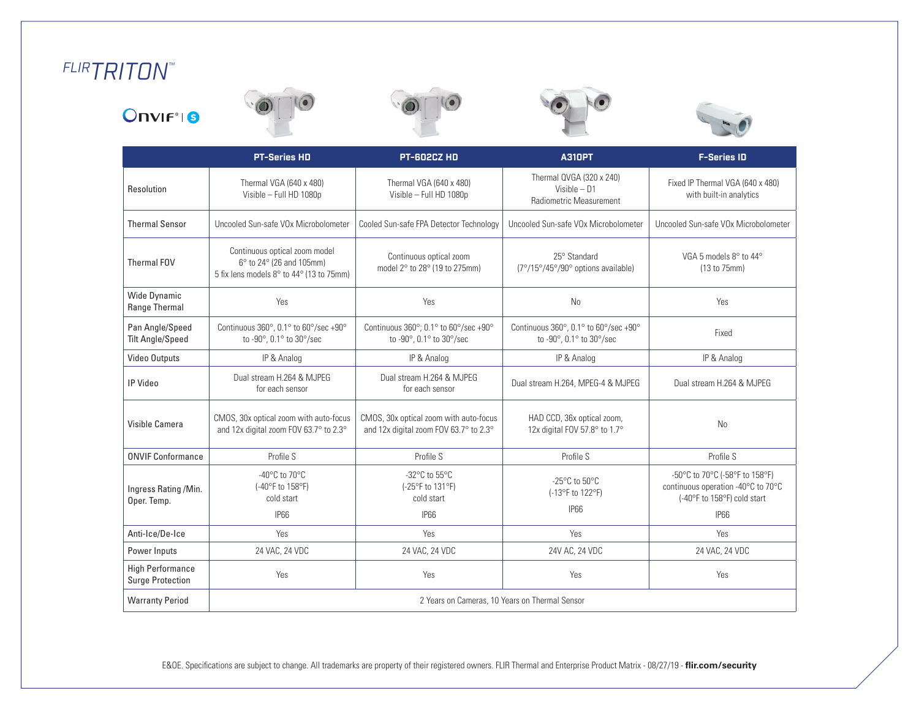# *FLIRTRITON™*











|                                                    | <b>PT-Series HD</b>                                                                                   | <b>PT-602CZ HD</b>                                                                                             | <b>A310PT</b>                                                           | <b>F-Series ID</b>                                                                                  |  |
|----------------------------------------------------|-------------------------------------------------------------------------------------------------------|----------------------------------------------------------------------------------------------------------------|-------------------------------------------------------------------------|-----------------------------------------------------------------------------------------------------|--|
| Resolution                                         | Thermal VGA (640 x 480)<br>Visible - Full HD 1080p                                                    | Thermal VGA (640 x 480)<br>Visible - Full HD 1080p                                                             | Thermal QVGA (320 x 240)<br>Visible $- D1$<br>Radiometric Measurement   | Fixed IP Thermal VGA (640 x 480)<br>with built-in analytics                                         |  |
| <b>Thermal Sensor</b>                              | Uncooled Sun-safe VOx Microbolometer                                                                  | Cooled Sun-safe FPA Detector Technology                                                                        | Uncooled Sun-safe VOx Microbolometer                                    | Uncooled Sun-safe VOx Microbolometer                                                                |  |
| Thermal FOV                                        | Continuous optical zoom model<br>6° to 24° (26 and 105mm)<br>5 fix lens models 8° to 44° (13 to 75mm) | 25° Standard<br>Continuous optical zoom<br>model 2° to 28° (19 to 275mm)<br>(7°/15°/45°/90° options available) |                                                                         | VGA 5 models 8° to 44°<br>(13 to 75mm)                                                              |  |
| <b>Wide Dynamic</b><br>Range Thermal               | Yes                                                                                                   | Yes                                                                                                            | <b>No</b>                                                               | Yes                                                                                                 |  |
| Pan Angle/Speed<br><b>Tilt Angle/Speed</b>         | Continuous 360°, 0.1° to 60°/sec +90°<br>to -90°, 0.1° to 30°/sec                                     | Continuous 360°; 0.1° to 60°/sec +90°<br>to -90°, 0.1° to 30°/sec                                              | Continuous 360°, 0.1° to 60°/sec +90°<br>to -90°, 0.1° to 30°/sec       | Fixed                                                                                               |  |
| Video Outputs                                      | IP & Analog                                                                                           | IP & Analog                                                                                                    | IP & Analog                                                             | IP & Analog                                                                                         |  |
| IP Video                                           | Dual stream H.264 & MJPEG<br>for each sensor                                                          | Dual stream H.264 & MJPEG<br>for each sensor                                                                   | Dual stream H.264, MPEG-4 & MJPEG                                       | Dual stream H.264 & MJPEG                                                                           |  |
| Visible Camera                                     | CMOS, 30x optical zoom with auto-focus<br>and 12x digital zoom FOV 63.7° to 2.3°                      | CMOS, 30x optical zoom with auto-focus<br>and 12x digital zoom FOV 63.7° to 2.3°                               | HAD CCD, 36x optical zoom,<br>12x digital FOV 57.8° to 1.7°             | N <sub>0</sub>                                                                                      |  |
| <b>ONVIF Conformance</b>                           | Profile S                                                                                             | Profile S                                                                                                      | Profile S                                                               | Profile S                                                                                           |  |
| Ingress Rating /Min.<br>Oper. Temp.                | -40 $^{\circ}$ C to 70 $^{\circ}$ C<br>(-40°F to 158°F)<br>cold start                                 | -32°C to 55°C<br>(-25°F to 131°F)<br>cold start                                                                | -25 $\mathrm{^{\circ}C}$ to 50 $\mathrm{^{\circ}C}$<br>(-13°F to 122°F) | -50°C to 70°C (-58°F to 158°F)<br>continuous operation -40°C to 70°C<br>(-40°F to 158°F) cold start |  |
|                                                    | <b>IP66</b>                                                                                           | <b>IP66</b>                                                                                                    | <b>IP66</b>                                                             | <b>IP66</b>                                                                                         |  |
| Anti-Ice/De-Ice                                    | Yes                                                                                                   | Yes                                                                                                            | Yes                                                                     | Yes                                                                                                 |  |
| Power Inputs                                       | 24 VAC, 24 VDC                                                                                        | 24 VAC, 24 VDC                                                                                                 | 24V AC, 24 VDC                                                          | 24 VAC, 24 VDC                                                                                      |  |
| <b>High Performance</b><br><b>Surge Protection</b> | Yes                                                                                                   | Yes                                                                                                            | Yes                                                                     | Yes                                                                                                 |  |
| <b>Warranty Period</b>                             | 2 Years on Cameras, 10 Years on Thermal Sensor                                                        |                                                                                                                |                                                                         |                                                                                                     |  |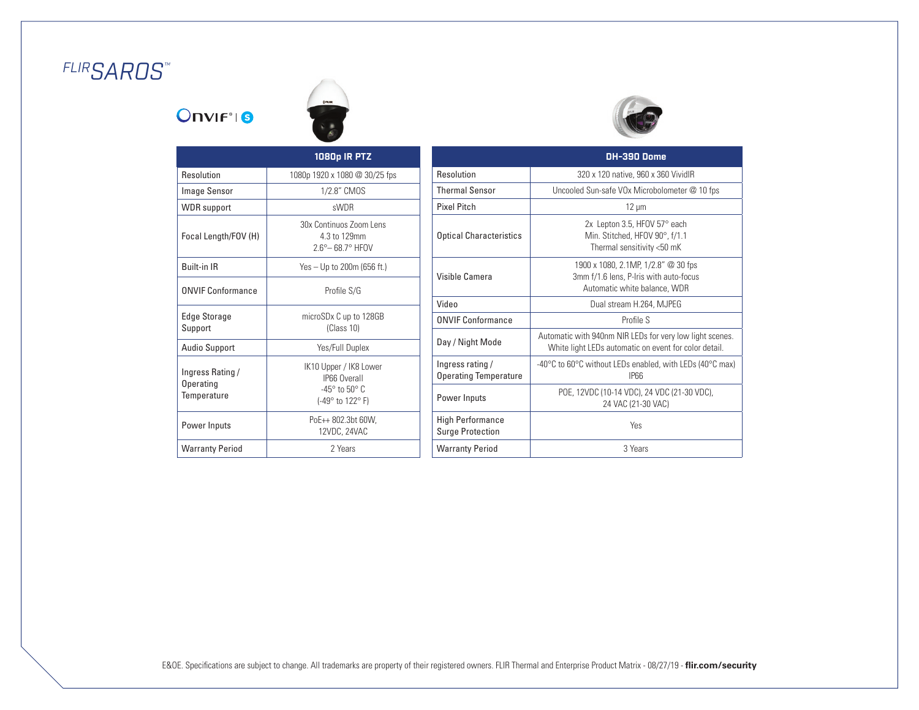# *FLIRSAROS™*

## **Onvirtig**





|                                              | 1080p IR PTZ                                                                                      |
|----------------------------------------------|---------------------------------------------------------------------------------------------------|
| Resolution                                   | 1080p 1920 x 1080 @ 30/25 fps                                                                     |
| Image Sensor                                 | 1/2.8" CMOS                                                                                       |
| <b>WDR</b> support                           | <b>sWDR</b>                                                                                       |
| Focal Length/FOV (H)                         | 30x Continuos Zoom Lens<br>4.3 to 129mm<br>2.6° – 68.7° HFOV                                      |
| <b>Built-in IR</b>                           | Yes - Up to 200m (656 ft.)                                                                        |
| <b>ONVIF Conformance</b>                     | Profile S/G                                                                                       |
| Edge Storage<br>Support                      | microSDx C up to 128GB<br>(Class 10)                                                              |
| <b>Audio Support</b>                         | Yes/Full Duplex                                                                                   |
| Ingress Rating /<br>Operating<br>Temperature | IK10 Upper / IK8 Lower<br><b>IP66 Overall</b><br>$-45^\circ$ to $50^\circ$ C.<br>(-49° to 122° F) |
| Power Inputs                                 | PoE++ 802.3bt 60W.<br>12VDC, 24VAC                                                                |
| <b>Warranty Period</b>                       | 2 Years                                                                                           |

|                                                    | <b>DH-390 Dome</b>                                                                                                |
|----------------------------------------------------|-------------------------------------------------------------------------------------------------------------------|
| Resolution                                         | 320 x 120 native, 960 x 360 VividIR                                                                               |
| <b>Thermal Sensor</b>                              | Uncooled Sun-safe VOx Microbolometer @ 10 fps                                                                     |
| <b>Pixel Pitch</b>                                 | $12 \mu m$                                                                                                        |
| <b>Optical Characteristics</b>                     | 2x Lepton 3.5, HFOV 57° each<br>Min. Stitched, HFOV 90°, f/1.1<br>Thermal sensitivity <50 mK                      |
| Visible Camera                                     | 1900 x 1080, 2.1MP, 1/2.8" @ 30 fps<br>3mm f/1.6 lens, P-Iris with auto-focus<br>Automatic white balance, WDR     |
| Video                                              | Dual stream H.264, MJPEG                                                                                          |
| <b>ONVIF Conformance</b>                           | Profile S                                                                                                         |
| Day / Night Mode                                   | Automatic with 940nm NIR LEDs for very low light scenes.<br>White light LEDs automatic on event for color detail. |
| Ingress rating/<br><b>Operating Temperature</b>    | -40°C to 60°C without LEDs enabled, with LEDs (40°C max)<br><b>IPRR</b>                                           |
| Power Inputs                                       | POE, 12VDC (10-14 VDC), 24 VDC (21-30 VDC),<br>24 VAC (21-30 VAC)                                                 |
| <b>High Performance</b><br><b>Surge Protection</b> | Yes                                                                                                               |
| <b>Warranty Period</b>                             | 3 Years                                                                                                           |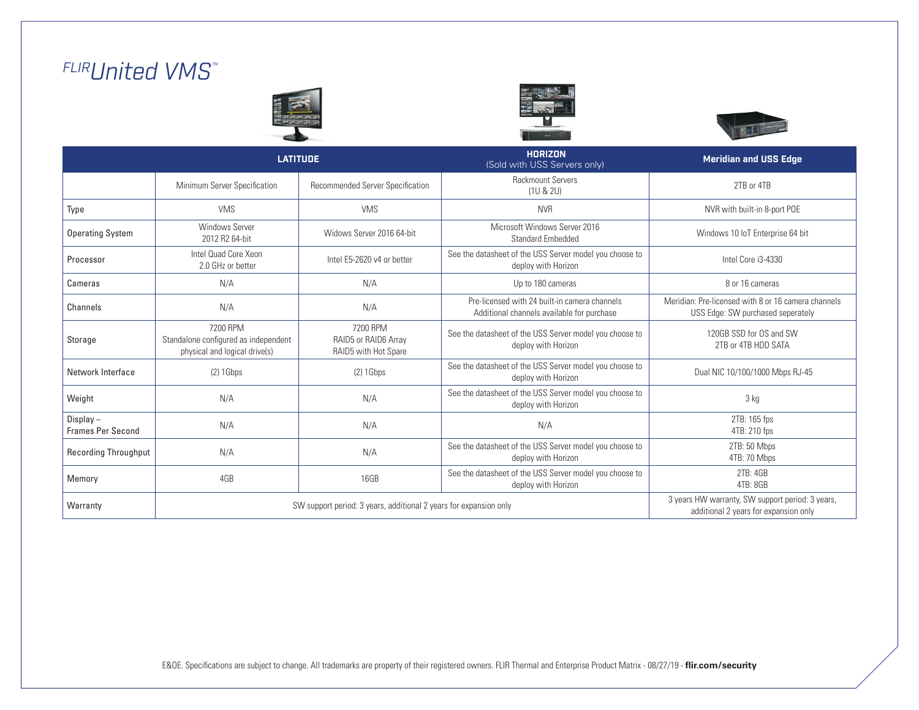# *FLIRUnited VMS™*







|                                         | <b>LATITUDE</b>                                                                   |                                                                                           | <b>HORIZON</b><br>(Sold with USS Servers only)                                              | <b>Meridian and USS Edge</b>                                                             |
|-----------------------------------------|-----------------------------------------------------------------------------------|-------------------------------------------------------------------------------------------|---------------------------------------------------------------------------------------------|------------------------------------------------------------------------------------------|
|                                         | Minimum Server Specification                                                      | Recommended Server Specification                                                          | <b>Rackmount Servers</b><br>(1U & 2U)                                                       | 2TB or 4TB                                                                               |
| Type                                    | <b>VMS</b>                                                                        | <b>VMS</b>                                                                                | <b>NVR</b>                                                                                  | NVR with built-in 8-port POE                                                             |
| <b>Operating System</b>                 | <b>Windows Server</b><br>2012 R2 64-bit                                           | Widows Server 2016 64-bit                                                                 | Microsoft Windows Server 2016<br><b>Standard Embedded</b>                                   | Windows 10 IoT Enterprise 64 bit                                                         |
| Processor                               | Intel Quad Core Xeon<br>2.0 GHz or better                                         | Intel E5-2620 v4 or better                                                                | See the datasheet of the USS Server model you choose to<br>deploy with Horizon              | Intel Core i3-4330                                                                       |
| Cameras                                 | N/A                                                                               | N/A                                                                                       | Up to 180 cameras                                                                           | 8 or 16 cameras                                                                          |
| Channels                                | N/A                                                                               | N/A                                                                                       | Pre-licensed with 24 built-in camera channels<br>Additional channels available for purchase | Meridian: Pre-licensed with 8 or 16 camera channels<br>USS Edge: SW purchased seperately |
| Storage                                 | 7200 RPM<br>Standalone configured as independent<br>physical and logical drive(s) | 7200 RPM<br>RAID5 or RAID6 Array<br>RAID5 with Hot Spare                                  | See the datasheet of the USS Server model you choose to<br>deploy with Horizon              | 120GB SSD for OS and SW<br>2TB or 4TB HDD SATA                                           |
| Network Interface                       | $(2)$ 1 Gbps                                                                      | $(2)$ 1 Gbps                                                                              | See the datasheet of the USS Server model you choose to<br>deploy with Horizon              | Dual NIC 10/100/1000 Mbps RJ-45                                                          |
| Weight                                  | N/A                                                                               | N/A                                                                                       | See the datasheet of the USS Server model you choose to<br>deploy with Horizon              | 3 kg                                                                                     |
| $Display -$<br><b>Frames Per Second</b> | N/A                                                                               | N/A                                                                                       | N/A                                                                                         | 2TB: 165 fps<br>4TB: 210 fps                                                             |
| <b>Recording Throughput</b>             | N/A                                                                               | N/A                                                                                       | See the datasheet of the USS Server model you choose to<br>deploy with Horizon              | 2TB: 50 Mbps<br>4TB: 70 Mbps                                                             |
| Memory                                  | 4GB                                                                               | 16GB                                                                                      | See the datasheet of the USS Server model you choose to<br>deploy with Horizon              | 2TB: 4GB<br>4TB: 8GB                                                                     |
| Warranty                                | SW support period: 3 years, additional 2 years for expansion only                 | 3 years HW warranty, SW support period: 3 years,<br>additional 2 years for expansion only |                                                                                             |                                                                                          |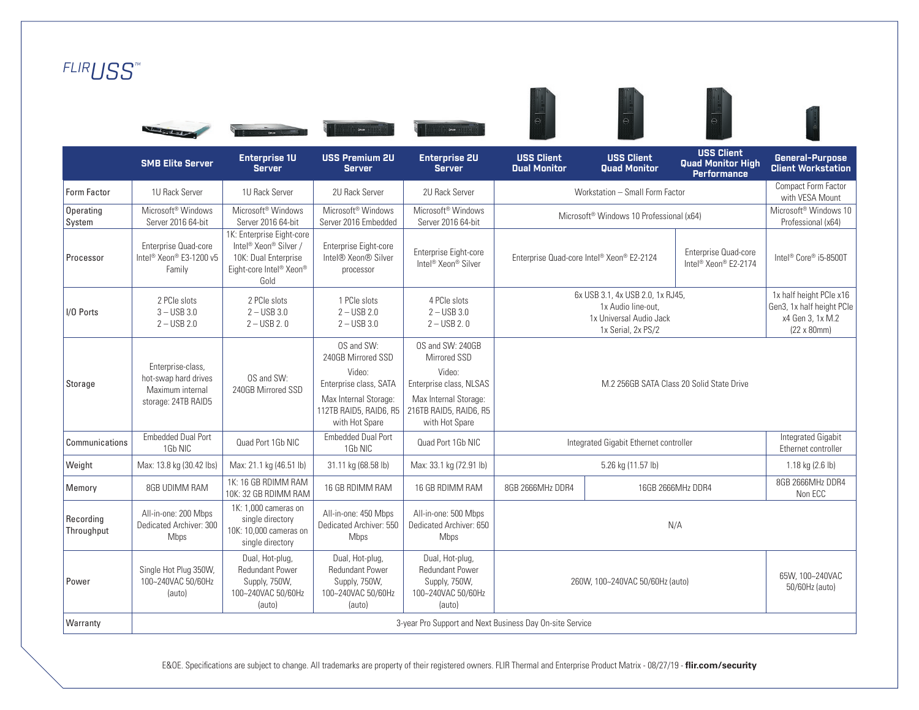| FLIRUSS"                |                                                                                      |                                                                                                                                       |                                                                                                                                           |                                                                                                                                            |                                           |                                                                                                         |                                                                     |                                                                                                    |
|-------------------------|--------------------------------------------------------------------------------------|---------------------------------------------------------------------------------------------------------------------------------------|-------------------------------------------------------------------------------------------------------------------------------------------|--------------------------------------------------------------------------------------------------------------------------------------------|-------------------------------------------|---------------------------------------------------------------------------------------------------------|---------------------------------------------------------------------|----------------------------------------------------------------------------------------------------|
|                         |                                                                                      | <b>COLE</b>                                                                                                                           | 27.08                                                                                                                                     |                                                                                                                                            |                                           |                                                                                                         |                                                                     |                                                                                                    |
|                         | <b>SMB Elite Server</b>                                                              | <b>Enterprise 1U</b><br><b>Server</b>                                                                                                 | <b>USS Premium 2U</b><br><b>Server</b>                                                                                                    | <b>Enterprise 2U</b><br><b>Server</b>                                                                                                      | <b>USS Client</b><br><b>Dual Monitor</b>  | <b>USS Client</b><br>Quad Monitor                                                                       | <b>USS Client</b><br><b>Quad Monitor High</b><br><b>Performance</b> | <b>General-Purpose</b><br><b>Client Workstation</b>                                                |
| Form Factor             | 1U Rack Server                                                                       | 1U Rack Server                                                                                                                        | 2U Rack Server                                                                                                                            | 2U Rack Server                                                                                                                             |                                           | Workstation - Small Form Factor                                                                         |                                                                     | Compact Form Factor<br>with VESA Mount                                                             |
| Operating<br>System     | Microsoft <sup>®</sup> Windows<br>Server 2016 64-bit                                 | Microsoft <sup>®</sup> Windows<br>Server 2016 64-bit                                                                                  | Microsoft <sup>®</sup> Windows<br>Server 2016 Embedded                                                                                    | Microsoft <sup>®</sup> Windows<br>Server 2016 64-bit                                                                                       |                                           | Microsoft <sup>®</sup> Windows 10 Professional (x64)                                                    |                                                                     | Microsoft <sup>®</sup> Windows 10<br>Professional (x64)                                            |
| Processor               | Enterprise Quad-core<br>Intel <sup>®</sup> Xeon® E3-1200 v5<br>Family                | 1K: Enterprise Eight-core<br>Intel <sup>®</sup> Xeon <sup>®</sup> Silver /<br>10K: Dual Enterprise<br>Eight-core Intel® Xeon®<br>Gold | Enterprise Eight-core<br>Intel® Xeon® Silver<br>processor                                                                                 | Enterprise Eight-core<br>Intel <sup>®</sup> Xeon <sup>®</sup> Silver                                                                       | Enterprise Quad-core Intel® Xeon® E2-2124 |                                                                                                         | Enterprise Quad-core<br>Intel <sup>®</sup> Xeon® E2-2174            | Intel <sup>®</sup> Core® i5-8500T                                                                  |
| I/O Ports               | 2 PCIe slots<br>$3 -$ USB 3.0<br>$2 -$ USB 2.0                                       | 2 PCIe slots<br>$2 -$ USB 3.0<br>$2 -$ USB 2.0                                                                                        | 1 PCIe slots<br>$2 -$ USB 2.0<br>$2 -$ USB 3.0                                                                                            | 4 PCIe slots<br>$2 -$ USB 3.0<br>$2 -$ USB 2.0                                                                                             |                                           | 6x USB 3.1, 4x USB 2.0, 1x RJ45,<br>1x Audio line-out.<br>1x Universal Audio Jack<br>1x Serial, 2x PS/2 |                                                                     | 1x half height PCle x16<br>Gen3, 1x half height PCle<br>x4 Gen 3, 1x M.2<br>$(22 \times 80$ mm $)$ |
| Storage                 | Enterprise-class,<br>hot-swap hard drives<br>Maximum internal<br>storage: 24TB RAID5 | OS and SW:<br>240GB Mirrored SSD                                                                                                      | OS and SW:<br>240GB Mirrored SSD<br>Video:<br>Enterprise class, SATA<br>Max Internal Storage:<br>112TB RAID5, RAID6, R5<br>with Hot Spare | OS and SW: 240GB<br>Mirrored SSD<br>Video:<br>Enterprise class, NLSAS<br>Max Internal Storage:<br>216TB RAID5, RAID6, R5<br>with Hot Spare |                                           |                                                                                                         | M.2 256GB SATA Class 20 Solid State Drive                           |                                                                                                    |
| Communications          | <b>Embedded Dual Port</b><br>1Gb NIC                                                 | Quad Port 1Gb NIC                                                                                                                     | <b>Embedded Dual Port</b><br>1Gb NIC                                                                                                      | Quad Port 1Gb NIC                                                                                                                          |                                           | Integrated Gigabit Ethernet controller                                                                  |                                                                     | <b>Integrated Gigabit</b><br>Ethernet controller                                                   |
| Weight                  | Max: 13.8 kg (30.42 lbs)                                                             | Max: 21.1 kg (46.51 lb)                                                                                                               | 31.11 kg (68.58 lb)                                                                                                                       | Max: 33.1 kg (72.91 lb)                                                                                                                    |                                           | 5.26 kg (11.57 lb)                                                                                      |                                                                     | 1.18 kg $(2.6 \text{ lb})$                                                                         |
| Memory                  | 8GB UDIMM RAM                                                                        | 1K: 16 GB RDIMM RAM<br>10K: 32 GB RDIMM RAM                                                                                           | 16 GB RDIMM RAM                                                                                                                           | 16 GB RDIMM RAM                                                                                                                            | 8GB 2666MHz DDR4                          |                                                                                                         | 16GB 2666MHz DDR4                                                   | 8GB 2666MHz DDR4<br>Non ECC                                                                        |
| Recording<br>Throughput | All-in-one: 200 Mbps<br>Dedicated Archiver: 300<br>Mbps                              | 1K: 1.000 cameras on<br>single directory<br>10K: 10,000 cameras on<br>single directory                                                | All-in-one: 450 Mbps<br>Dedicated Archiver: 550<br>Mbps                                                                                   | All-in-one: 500 Mbps<br>Dedicated Archiver: 650<br>Mbps                                                                                    | N/A                                       |                                                                                                         |                                                                     |                                                                                                    |
| Power                   | Single Hot Plug 350W,<br>100~240VAC 50/60Hz<br>(auto)                                | Dual, Hot-plug,<br><b>Redundant Power</b><br>Supply, 750W,<br>100~240VAC 50/60Hz<br>(auto)                                            | Dual, Hot-plug,<br><b>Redundant Power</b><br>Supply, 750W,<br>100~240VAC 50/60Hz<br>(auto)                                                | Dual, Hot-plug,<br><b>Redundant Power</b><br>Supply, 750W,<br>100~240VAC 50/60Hz<br>(auto)                                                 |                                           | 260W, 100~240VAC 50/60Hz (auto)                                                                         |                                                                     | 65W, 100~240VAC<br>50/60Hz (auto)                                                                  |
| Warranty                |                                                                                      |                                                                                                                                       |                                                                                                                                           | 3-year Pro Support and Next Business Day On-site Service                                                                                   |                                           |                                                                                                         |                                                                     |                                                                                                    |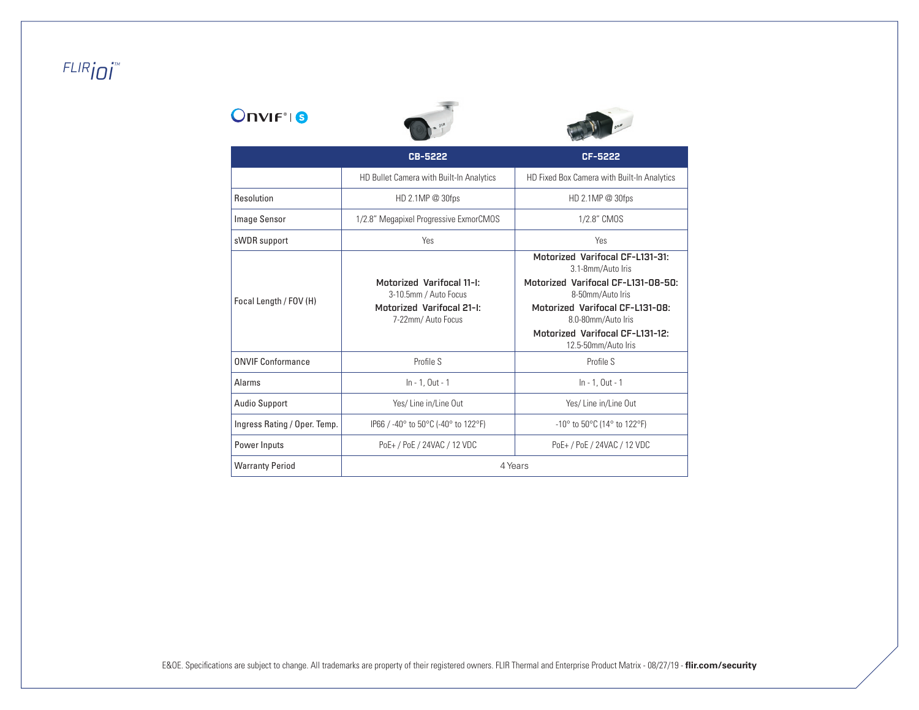# *FLIRioi™*

## **Onvirtig**





|                              | CB-5222                                                                                                      | CF-5222                                                                                                                                                                 |
|------------------------------|--------------------------------------------------------------------------------------------------------------|-------------------------------------------------------------------------------------------------------------------------------------------------------------------------|
|                              | HD Bullet Camera with Built-In Analytics                                                                     | HD Fixed Box Camera with Built-In Analytics                                                                                                                             |
| Resolution                   | HD 2.1MP @ 30fps                                                                                             | HD 2.1MP @ 30fps                                                                                                                                                        |
| Image Sensor                 | 1/2.8" Megapixel Progressive ExmorCMOS                                                                       | 1/2.8" CMOS                                                                                                                                                             |
| sWDR support                 | Yes                                                                                                          | Yes                                                                                                                                                                     |
| Focal Length / FOV (H)       | <b>Motorized Varifocal 11-I:</b><br>3-10.5mm / Auto Focus<br>Motorized Varifocal 21-I:<br>7-22mm/ Auto Focus | Motorized Varifocal CF-L131-31:<br>3.1-8mm/Auto Iris<br>Motorized Varifocal CF-L131-08-50:<br>8-50mm/Auto Iris<br>Motorized Varifocal CF-L131-08:<br>8.0-80mm/Auto Iris |
|                              |                                                                                                              | Motorized Varifocal CF-L131-12:<br>12.5-50mm/Auto Iris                                                                                                                  |
| <b>ONVIF Conformance</b>     | Profile S                                                                                                    | Profile S                                                                                                                                                               |
| Alarms                       | In - 1, Out - 1                                                                                              | In - 1, Out - 1                                                                                                                                                         |
| <b>Audio Support</b>         | Yes/ Line in/Line Out                                                                                        | Yes/ Line in/Line Out                                                                                                                                                   |
| Ingress Rating / Oper. Temp. | IP66 / -40° to 50°C (-40° to 122°F)                                                                          | $-10^{\circ}$ to 50 $^{\circ}$ C (14 $^{\circ}$ to 122 $^{\circ}$ F)                                                                                                    |
| Power Inputs                 | PoE+ / PoE / 24VAC / 12 VDC                                                                                  | PoE+ / PoE / 24VAC / 12 VDC                                                                                                                                             |
| <b>Warranty Period</b>       |                                                                                                              | 4 Years                                                                                                                                                                 |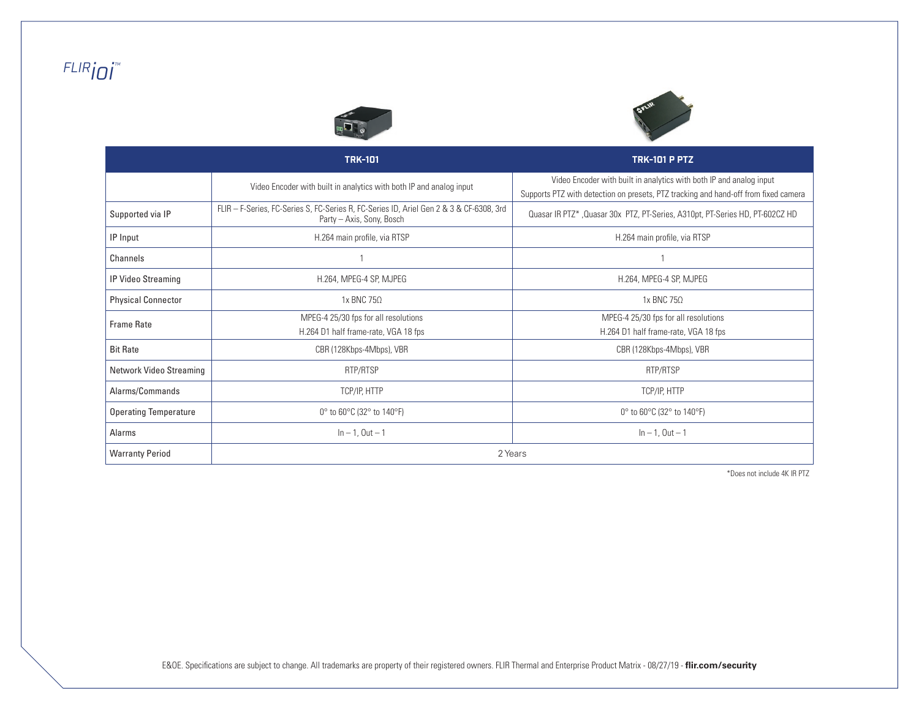# *FLIRioi™*





|                              | <b>TRK-101</b>                                                                                                       | <b>TRK-101 P PTZ</b>                                                                                                                                       |  |  |
|------------------------------|----------------------------------------------------------------------------------------------------------------------|------------------------------------------------------------------------------------------------------------------------------------------------------------|--|--|
|                              | Video Encoder with built in analytics with both IP and analog input                                                  | Video Encoder with built in analytics with both IP and analog input<br>Supports PTZ with detection on presets, PTZ tracking and hand-off from fixed camera |  |  |
| Supported via IP             | FLIR - F-Series, FC-Series S, FC-Series R, FC-Series ID, Ariel Gen 2 & 3 & CF-6308, 3rd<br>Party - Axis, Sony, Bosch | Quasar IR PTZ*, Quasar 30x PTZ, PT-Series, A310pt, PT-Series HD, PT-602CZ HD                                                                               |  |  |
| IP Input                     | H.264 main profile, via RTSP                                                                                         | H.264 main profile, via RTSP                                                                                                                               |  |  |
| Channels                     |                                                                                                                      |                                                                                                                                                            |  |  |
| IP Video Streaming           | H.264, MPEG-4 SP, MJPEG                                                                                              | H.264, MPEG-4 SP, MJPEG                                                                                                                                    |  |  |
| <b>Physical Connector</b>    | 1x BNC 75Ω                                                                                                           | 1x BNC 75Ω                                                                                                                                                 |  |  |
| <b>Frame Rate</b>            | MPEG-4 25/30 fps for all resolutions<br>H.264 D1 half frame-rate, VGA 18 fps                                         | MPEG-4 25/30 fps for all resolutions<br>H.264 D1 half frame-rate, VGA 18 fps                                                                               |  |  |
| <b>Bit Rate</b>              | CBR (128Kbps-4Mbps), VBR                                                                                             | CBR (128Kbps-4Mbps), VBR                                                                                                                                   |  |  |
| Network Video Streaming      | RTP/RTSP                                                                                                             | RTP/RTSP                                                                                                                                                   |  |  |
| Alarms/Commands              | TCP/IP, HTTP                                                                                                         | TCP/IP, HTTP                                                                                                                                               |  |  |
| <b>Operating Temperature</b> | 0 $\degree$ to 60 $\degree$ C (32 $\degree$ to 140 $\degree$ F)                                                      | 0° to 60°C (32° to 140°F)                                                                                                                                  |  |  |
| Alarms                       | $ln - 1$ , Out $-1$                                                                                                  | $ln - 1$ , Out $-1$                                                                                                                                        |  |  |
| <b>Warranty Period</b>       | 2 Years                                                                                                              |                                                                                                                                                            |  |  |

\*Does not include 4K IR PTZ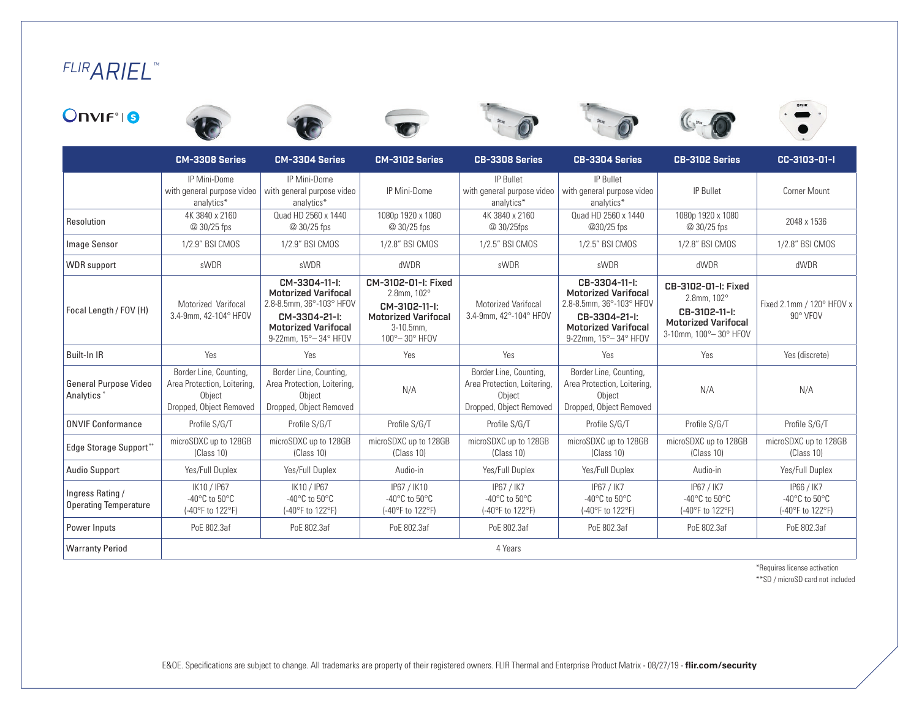# *FLIRARIEL™*













|                                                        | <b>CM-3308 Series</b>                                                                      | CM-3304 Series                                                                                                                                   | CM-3102 Series                                                                                                                | CB-3308 Series                                                                             | CB-3304 Series                                                                                                                                   | CB-3102 Series                                                                                                         | CC-3103-01-I                                                          |
|--------------------------------------------------------|--------------------------------------------------------------------------------------------|--------------------------------------------------------------------------------------------------------------------------------------------------|-------------------------------------------------------------------------------------------------------------------------------|--------------------------------------------------------------------------------------------|--------------------------------------------------------------------------------------------------------------------------------------------------|------------------------------------------------------------------------------------------------------------------------|-----------------------------------------------------------------------|
|                                                        | IP Mini-Dome<br>with general purpose video<br>analytics*                                   | IP Mini-Dome<br>with general purpose video<br>analytics*                                                                                         | IP Mini-Dome                                                                                                                  | IP Bullet<br>with general purpose video<br>analytics*                                      | IP Bullet<br>with general purpose video<br>analytics*                                                                                            | IP Bullet                                                                                                              | <b>Corner Mount</b>                                                   |
| Resolution                                             | 4K 3840 x 2160<br>@ 30/25 fps                                                              | Quad HD 2560 x 1440<br>@ 30/25 fps                                                                                                               | 1080p 1920 x 1080<br>@ 30/25 fps                                                                                              | 4K 3840 x 2160<br>@ 30/25fps                                                               | Quad HD 2560 x 1440<br>@30/25 fps                                                                                                                | 1080p 1920 x 1080<br>@ 30/25 fps                                                                                       | 2048 x 1536                                                           |
| Image Sensor                                           | 1/2.9" BSI CMOS                                                                            | 1/2.9" BSI CMOS                                                                                                                                  | 1/2.8" BSI CMOS                                                                                                               | 1/2.5" BSI CMOS                                                                            | 1/2.5" BSI CMOS                                                                                                                                  | 1/2.8" BSI CMOS                                                                                                        | 1/2.8" BSI CMOS                                                       |
| <b>WDR</b> support                                     | sWDR                                                                                       | sWDR                                                                                                                                             | dWDR                                                                                                                          | sWDR                                                                                       | sWDR                                                                                                                                             | dWDR                                                                                                                   | dWDR                                                                  |
| Focal Length / FOV (H)                                 | Motorized Varifocal<br>3.4-9mm, 42-104° HFOV                                               | CM-3304-11-I:<br><b>Motorized Varifocal</b><br>2.8-8.5mm, 36°-103° HFOV<br>CM-3304-21-I:<br><b>Motorized Varifocal</b><br>9-22mm, 15° - 34° HFOV | CM-3102-01-I: Fixed<br>$2.8$ mm, $102^{\circ}$<br>CM-3102-11-I:<br><b>Motorized Varifocal</b><br>3-10.5mm.<br>100° - 30° HFOV | Motorized Varifocal<br>3.4-9mm, 42°-104° HFOV                                              | CB-3304-11-I:<br><b>Motorized Varifocal</b><br>2.8-8.5mm, 36°-103° HFOV<br>CB-3304-21-I:<br><b>Motorized Varifocal</b><br>9-22mm, 15° - 34° HFOV | CB-3102-01-I: Fixed<br>$2.8$ mm, $102^{\circ}$<br>CB-3102-11-I:<br><b>Motorized Varifocal</b><br>3-10mm, 100°-30° HFOV | Fixed 2.1mm / 120° HFOV x<br>90° VFOV                                 |
| Built-In IR                                            | Yes                                                                                        | Yes                                                                                                                                              | Yes                                                                                                                           | Yes                                                                                        | Yes                                                                                                                                              | Yes                                                                                                                    | Yes (discrete)                                                        |
| <b>General Purpose Video</b><br>Analytics <sup>*</sup> | Border Line, Counting,<br>Area Protection, Loitering,<br>Obiect<br>Dropped, Object Removed | Border Line, Counting,<br>Area Protection, Loitering,<br>Obiect<br>Dropped, Object Removed                                                       | N/A                                                                                                                           | Border Line, Counting,<br>Area Protection, Loitering,<br>Object<br>Dropped, Object Removed | Border Line, Counting,<br>Area Protection, Loitering,<br>Object<br>Dropped, Object Removed                                                       | N/A                                                                                                                    | N/A                                                                   |
| <b>ONVIF Conformance</b>                               | Profile S/G/T                                                                              | Profile S/G/T                                                                                                                                    | Profile S/G/T                                                                                                                 | Profile S/G/T                                                                              | Profile S/G/T                                                                                                                                    | Profile S/G/T                                                                                                          | Profile S/G/T                                                         |
| <b>Edge Storage Support**</b>                          | microSDXC up to 128GB<br>(Class 10)                                                        | microSDXC up to 128GB<br>(Class 10)                                                                                                              | microSDXC up to 128GB<br>(Class 10)                                                                                           | microSDXC up to 128GB<br>(Class 10)                                                        | microSDXC up to 128GB<br>(Class 10)                                                                                                              | microSDXC up to 128GB<br>(Class 10)                                                                                    | microSDXC up to 128GB<br>(Class 10)                                   |
| <b>Audio Support</b>                                   | Yes/Full Duplex                                                                            | Yes/Full Duplex                                                                                                                                  | Audio-in                                                                                                                      | Yes/Full Duplex                                                                            | Yes/Full Duplex                                                                                                                                  | Audio-in                                                                                                               | Yes/Full Duplex                                                       |
| Ingress Rating /<br><b>Operating Temperature</b>       | IK10 / IP67<br>-40 $^{\circ}$ C to 50 $^{\circ}$ C<br>(-40°F to 122°F)                     | IK10 / IP67<br>-40 $^{\circ}$ C to 50 $^{\circ}$ C<br>(-40°F to 122°F)                                                                           | IP67 / IK10<br>$-40^{\circ}$ C to $50^{\circ}$ C<br>(-40°F to 122°F)                                                          | IP67 / IK7<br>$-40^{\circ}$ C to $50^{\circ}$ C<br>(-40°F to 122°F)                        | IP67 / IK7<br>-40 $^{\circ}$ C to 50 $^{\circ}$ C<br>(-40°F to 122°F)                                                                            | IP67 / IK7<br>$-40^{\circ}$ C to $50^{\circ}$ C<br>(-40°F to 122°F)                                                    | IP66 / IK7<br>-40 $^{\circ}$ C to 50 $^{\circ}$ C<br>(-40°F to 122°F) |
| Power Inputs                                           | PoE 802.3af                                                                                | PoE 802.3af                                                                                                                                      | PoE 802.3af                                                                                                                   | PoE 802.3af                                                                                | PoE 802.3af                                                                                                                                      | PoE 802.3af                                                                                                            | PoE 802.3af                                                           |
| <b>Warranty Period</b>                                 | 4 Years                                                                                    |                                                                                                                                                  |                                                                                                                               |                                                                                            |                                                                                                                                                  |                                                                                                                        |                                                                       |

\*Requires license activation \*\*SD / microSD card not included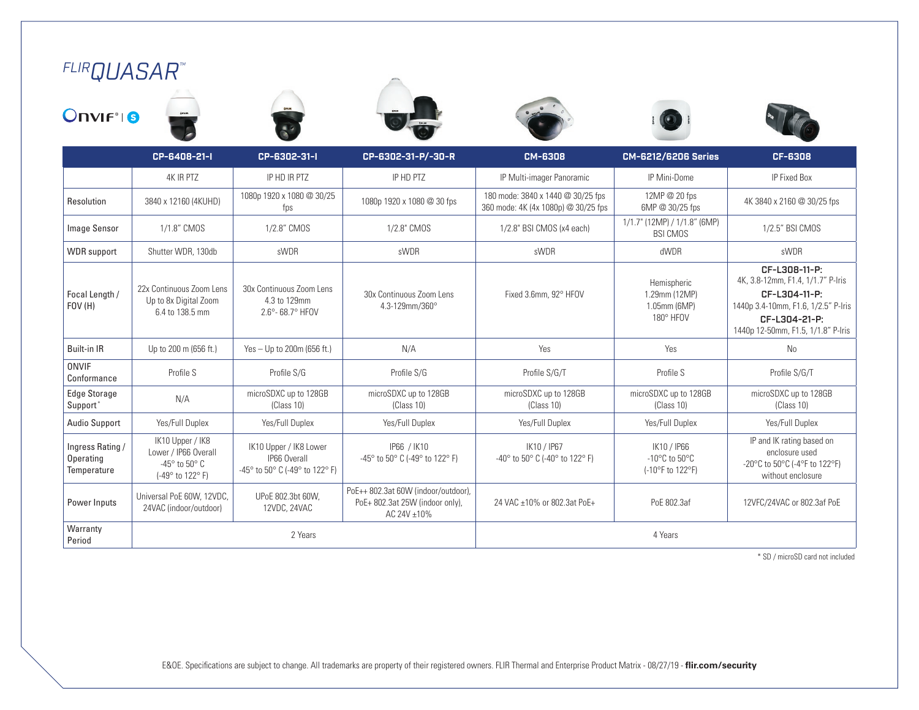# *FLIRQUASAR™*













|                                              | CP-6408-21-I                                                                                      | CP-6302-31-I                                                             | CP-6302-31-P/-30-R                                                                   | <b>CM-6308</b>                                                           | <b>CM-6212/6206 Series</b>                                            | CF-6308                                                                                                                                                           |
|----------------------------------------------|---------------------------------------------------------------------------------------------------|--------------------------------------------------------------------------|--------------------------------------------------------------------------------------|--------------------------------------------------------------------------|-----------------------------------------------------------------------|-------------------------------------------------------------------------------------------------------------------------------------------------------------------|
|                                              | <b>4K IR PTZ</b>                                                                                  | IP HD IR PTZ                                                             | IP HD PTZ                                                                            | IP Multi-imager Panoramic                                                | IP Mini-Dome                                                          | IP Fixed Box                                                                                                                                                      |
| Resolution                                   | 3840 x 12160 (4KUHD)                                                                              | 1080p 1920 x 1080 @ 30/25<br>fps                                         | 1080p 1920 x 1080 @ 30 fps                                                           | 180 mode: 3840 x 1440 @ 30/25 fps<br>360 mode: 4K (4x 1080p) @ 30/25 fps | 12MP @ 20 fps<br>6MP @ 30/25 fps                                      | 4K 3840 x 2160 @ 30/25 fps                                                                                                                                        |
| Image Sensor                                 | 1/1.8" CMOS                                                                                       | 1/2.8" CMOS                                                              | 1/2.8" CMOS                                                                          | 1/2.8" BSI CMOS (x4 each)                                                | 1/1.7" (12MP) / 1/1.8" (6MP)<br><b>BSI CMOS</b>                       | 1/2.5" BSI CMOS                                                                                                                                                   |
| <b>WDR</b> support                           | Shutter WDR, 130db                                                                                | sWDR                                                                     | sWDR                                                                                 | sWDR                                                                     | dWDR                                                                  | sWDR                                                                                                                                                              |
| Focal Length /<br>FOV(H)                     | 22x Continuous Zoom Lens<br>Up to 8x Digital Zoom<br>6.4 to 138.5 mm                              | 30x Continuous Zoom Lens<br>4.3 to 129mm<br>2.6° - 68.7° HFOV            | 30x Continuous Zoom Lens<br>4.3-129mm/360°                                           | Fixed 3.6mm, 92° HFOV                                                    | Hemispheric<br>1.29mm (12MP)<br>1.05mm (6MP)<br>180° HFOV             | CF-L308-11-P:<br>4K, 3.8-12mm, F1.4, 1/1.7" P-Iris<br>CF-L304-11-P:<br>1440p 3.4-10mm, F1.6, 1/2.5" P-Iris<br>CF-L304-21-P:<br>1440p 12-50mm, F1.5, 1/1.8" P-Iris |
| <b>Built-in IR</b>                           | Up to 200 m (656 ft.)                                                                             | Yes - Up to 200m (656 ft.)                                               | N/A                                                                                  | Yes                                                                      | Yes                                                                   | No                                                                                                                                                                |
| <b>ONVIF</b><br>Conformance                  | Profile S                                                                                         | Profile S/G                                                              | Profile S/G                                                                          | Profile S/G/T                                                            | Profile S                                                             | Profile S/G/T                                                                                                                                                     |
| <b>Edge Storage</b><br>Support*              | N/A                                                                                               | microSDXC up to 128GB<br>(Class 10)                                      | microSDXC up to 128GB<br>(Class 10)                                                  | microSDXC up to 128GB<br>(Class 10)                                      | microSDXC up to 128GB<br>(Class 10)                                   | microSDXC up to 128GB<br>(Class 10)                                                                                                                               |
| <b>Audio Support</b>                         | Yes/Full Duplex                                                                                   | Yes/Full Duplex                                                          | Yes/Full Duplex                                                                      | Yes/Full Duplex                                                          | Yes/Full Duplex                                                       | Yes/Full Duplex                                                                                                                                                   |
| Ingress Rating /<br>Operating<br>Temperature | IK10 Upper / IK8<br>Lower / IP66 Overall<br>-45 $^{\circ}$ to 50 $^{\circ}$ C<br>(-49° to 122° F) | IK10 Upper / IK8 Lower<br>IP66 Overall<br>-45° to 50° C (-49° to 122° F) | IP66 / IK10<br>-45° to 50° C (-49° to 122° F)                                        | IK10 / IP67<br>-40° to 50° C (-40° to 122° F)                            | IK10 / IP66<br>$-10^{\circ}$ C to 50 $^{\circ}$ C<br>(-10°F to 122°F) | IP and IK rating based on<br>enclosure used<br>-20°C to 50°C (-4°F to 122°F)<br>without enclosure                                                                 |
| Power Inputs                                 | Universal PoE 60W, 12VDC,<br>24VAC (indoor/outdoor)                                               | UPoE 802.3bt 60W.<br>12VDC, 24VAC                                        | PoE++ 802.3at 60W (indoor/outdoor),<br>PoE+802.3at 25W (indoor only),<br>AC 24V ±10% | 24 VAC ±10% or 802.3at PoE+                                              | PoE 802.3af                                                           | 12VFC/24VAC or 802.3af PoE                                                                                                                                        |
| Warranty<br>Period                           |                                                                                                   | 2 Years                                                                  |                                                                                      |                                                                          | 4 Years                                                               |                                                                                                                                                                   |

\* SD / microSD card not included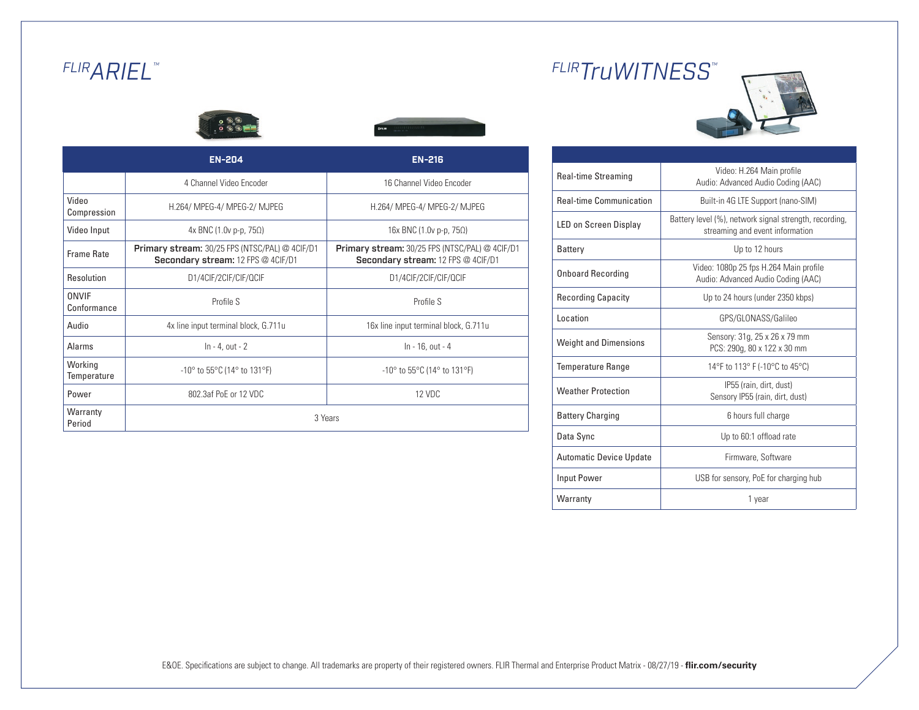# *FLIRARIEL™*



|                             | <b>EN-204</b>                                                                                      | <b>EN-216</b>                                                                               |  |  |  |
|-----------------------------|----------------------------------------------------------------------------------------------------|---------------------------------------------------------------------------------------------|--|--|--|
|                             | 4 Channel Video Encoder                                                                            | 16 Channel Video Encoder                                                                    |  |  |  |
| Video<br>Compression        | H.264/ MPEG-4/ MPEG-2/ MJPEG                                                                       | H.264/ MPEG-4/ MPEG-2/ MJPEG                                                                |  |  |  |
| Video Input                 | 4x BNC (1.0ν p-p, 75Ω)                                                                             | 16x BNC (1.0ν p-p, 75Ω)                                                                     |  |  |  |
| <b>Frame Rate</b>           | <b>Primary stream:</b> 30/25 FPS (NTSC/PAL) @ 4CIF/D1<br><b>Secondary stream: 12 FPS @ 4CIF/D1</b> | <b>Primary stream:</b> 30/25 FPS (NTSC/PAL) @ 4CIF/D1<br>Secondary stream: 12 FPS @ 4CIF/D1 |  |  |  |
| Resolution                  | D1/4CIF/2CIF/CIF/QCIF                                                                              | D1/4CIF/2CIF/CIF/QCIF                                                                       |  |  |  |
| <b>ONVIF</b><br>Conformance | Profile S                                                                                          | Profile S                                                                                   |  |  |  |
| Audio                       | 4x line input terminal block, G.711u                                                               | 16x line input terminal block, G.711u                                                       |  |  |  |
| Alarms                      | $ln - 4$ , out $-2$                                                                                | In - 16, out - 4                                                                            |  |  |  |
| Working<br>Temperature      | $-10^{\circ}$ to 55 $^{\circ}$ C (14 $^{\circ}$ to 131 $^{\circ}$ F)                               | $-10^{\circ}$ to 55 $^{\circ}$ C (14 $^{\circ}$ to 131 $^{\circ}$ F)                        |  |  |  |
| Power                       | 802.3af PoE or 12 VDC                                                                              | $12$ VDC                                                                                    |  |  |  |
| Warranty<br>Period          | 3 Years                                                                                            |                                                                                             |  |  |  |

# *FLIRTruWITNESS™*



| Real-time Streaming            | Video: H.264 Main profile<br>Audio: Advanced Audio Coding (AAC)                           |
|--------------------------------|-------------------------------------------------------------------------------------------|
| <b>Real-time Communication</b> | Built-in 4G LTE Support (nano-SIM)                                                        |
| <b>LED on Screen Display</b>   | Battery level (%), network signal strength, recording,<br>streaming and event information |
| Battery                        | Up to 12 hours                                                                            |
| <b>Onboard Recording</b>       | Video: 1080p 25 fps H.264 Main profile<br>Audio: Advanced Audio Coding (AAC)              |
| <b>Recording Capacity</b>      | Up to 24 hours (under 2350 kbps)                                                          |
| Location                       | GPS/GLONASS/Galileo                                                                       |
| <b>Weight and Dimensions</b>   | Sensory: 31g, 25 x 26 x 79 mm<br>PCS: 290q, 80 x 122 x 30 mm                              |
| <b>Temperature Range</b>       | 14°F to 113° F (-10°C to 45°C)                                                            |
| <b>Weather Protection</b>      | IP55 (rain, dirt, dust)<br>Sensory IP55 (rain, dirt, dust)                                |
| <b>Battery Charging</b>        | 6 hours full charge                                                                       |
| Data Sync                      | Up to 60:1 offload rate                                                                   |
| <b>Automatic Device Update</b> | Firmware, Software                                                                        |
| Input Power                    | USB for sensory, PoE for charging hub                                                     |
| Warranty                       | 1 year                                                                                    |